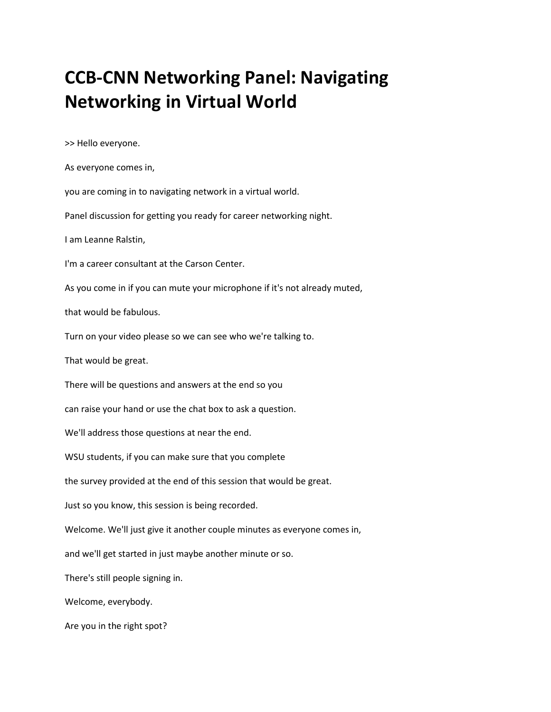## **CCB-CNN Networking Panel: Navigating Networking in Virtual World**

>> Hello everyone.

Are you in the right spot?

As everyone comes in, you are coming in to navigating network in a virtual world. Panel discussion for getting you ready for career networking night. I am Leanne Ralstin, I'm a career consultant at the Carson Center. As you come in if you can mute your microphone if it's not already muted, that would be fabulous. Turn on your video please so we can see who we're talking to. That would be great. There will be questions and answers at the end so you can raise your hand or use the chat box to ask a question. We'll address those questions at near the end. WSU students, if you can make sure that you complete the survey provided at the end of this session that would be great. Just so you know, this session is being recorded. Welcome. We'll just give it another couple minutes as everyone comes in, and we'll get started in just maybe another minute or so. There's still people signing in. Welcome, everybody.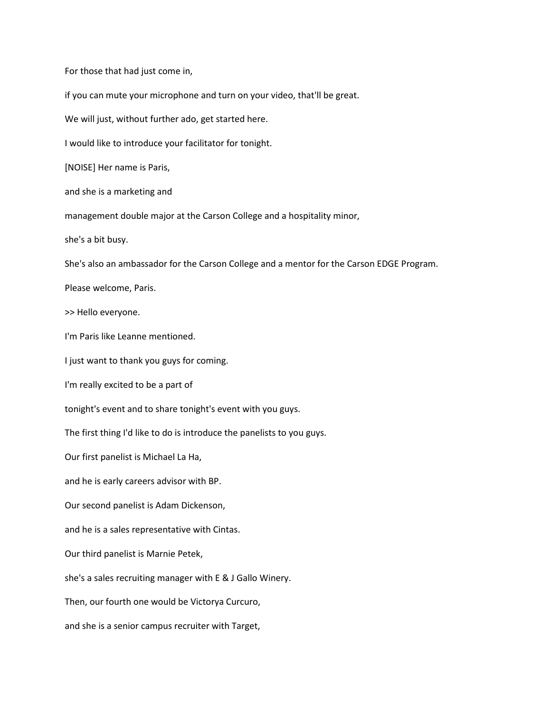For those that had just come in, if you can mute your microphone and turn on your video, that'll be great. We will just, without further ado, get started here. I would like to introduce your facilitator for tonight. [NOISE] Her name is Paris, and she is a marketing and management double major at the Carson College and a hospitality minor, she's a bit busy. She's also an ambassador for the Carson College and a mentor for the Carson EDGE Program. Please welcome, Paris. >> Hello everyone. I'm Paris like Leanne mentioned. I just want to thank you guys for coming. I'm really excited to be a part of tonight's event and to share tonight's event with you guys. The first thing I'd like to do is introduce the panelists to you guys. Our first panelist is Michael La Ha, and he is early careers advisor with BP. Our second panelist is Adam Dickenson, and he is a sales representative with Cintas. Our third panelist is Marnie Petek, she's a sales recruiting manager with E & J Gallo Winery. Then, our fourth one would be Victorya Curcuro, and she is a senior campus recruiter with Target,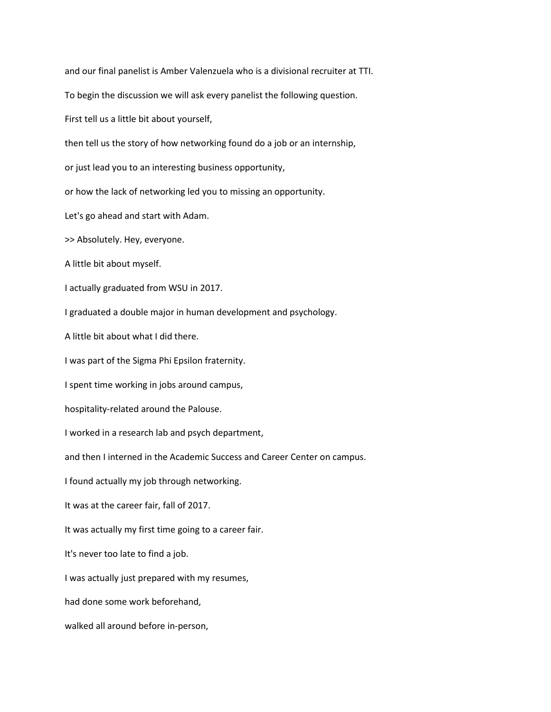and our final panelist is Amber Valenzuela who is a divisional recruiter at TTI. To begin the discussion we will ask every panelist the following question. First tell us a little bit about yourself, then tell us the story of how networking found do a job or an internship, or just lead you to an interesting business opportunity, or how the lack of networking led you to missing an opportunity. Let's go ahead and start with Adam. >> Absolutely. Hey, everyone. A little bit about myself. I actually graduated from WSU in 2017. I graduated a double major in human development and psychology. A little bit about what I did there. I was part of the Sigma Phi Epsilon fraternity. I spent time working in jobs around campus, hospitality-related around the Palouse. I worked in a research lab and psych department, and then I interned in the Academic Success and Career Center on campus. I found actually my job through networking. It was at the career fair, fall of 2017. It was actually my first time going to a career fair. It's never too late to find a job. I was actually just prepared with my resumes, had done some work beforehand, walked all around before in-person,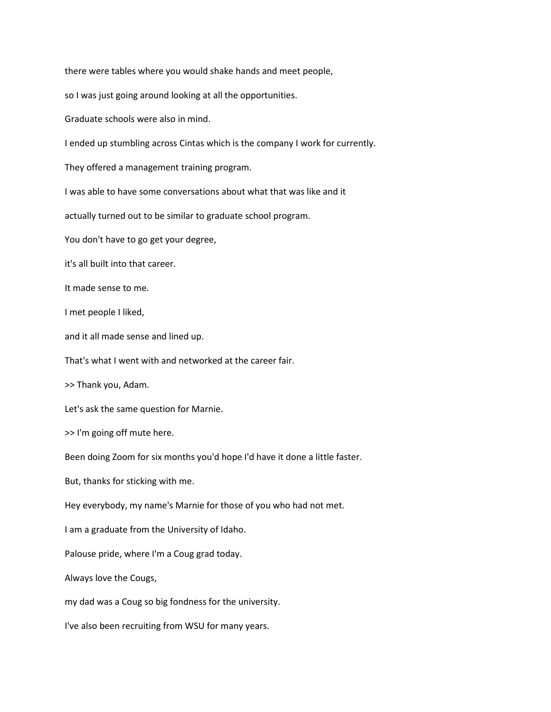there were tables where you would shake hands and meet people,

so I was just going around looking at all the opportunities.

Graduate schools were also in mind.

I ended up stumbling across Cintas which is the company I work for currently.

They offered a management training program.

I was able to have some conversations about what that was like and it

actually turned out to be similar to graduate school program.

You don't have to go get your degree,

it's all built into that career.

It made sense to me.

I met people I liked,

and it all made sense and lined up.

That's what I went with and networked at the career fair.

>> Thank you, Adam.

Let's ask the same question for Marnie.

>> I'm going off mute here.

Been doing Zoom for six months you'd hope I'd have it done a little faster.

But, thanks for sticking with me.

Hey everybody, my name's Marnie for those of you who had not met.

I am a graduate from the University of Idaho.

Palouse pride, where I'm a Coug grad today.

Always love the Cougs,

my dad was a Coug so big fondness for the university.

I've also been recruiting from WSU for many years.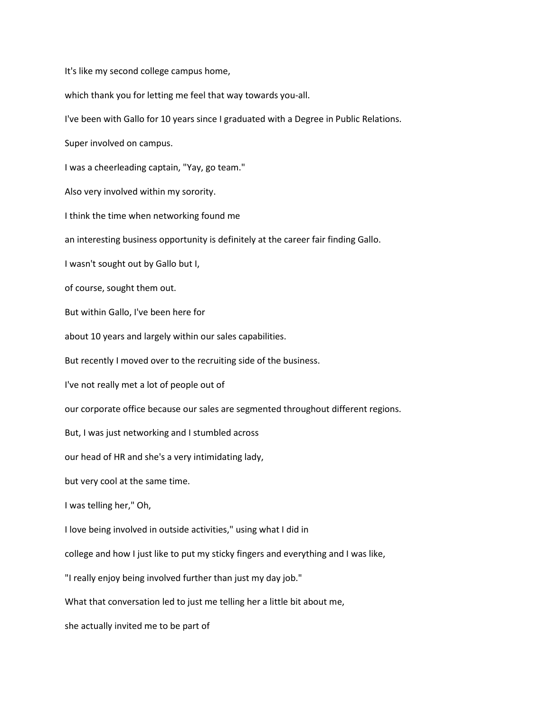It's like my second college campus home,

which thank you for letting me feel that way towards you-all.

I've been with Gallo for 10 years since I graduated with a Degree in Public Relations.

Super involved on campus.

I was a cheerleading captain, "Yay, go team."

Also very involved within my sorority.

I think the time when networking found me

an interesting business opportunity is definitely at the career fair finding Gallo.

I wasn't sought out by Gallo but I,

of course, sought them out.

But within Gallo, I've been here for

about 10 years and largely within our sales capabilities.

But recently I moved over to the recruiting side of the business.

I've not really met a lot of people out of

our corporate office because our sales are segmented throughout different regions.

But, I was just networking and I stumbled across

our head of HR and she's a very intimidating lady,

but very cool at the same time.

I was telling her," Oh,

I love being involved in outside activities," using what I did in

college and how I just like to put my sticky fingers and everything and I was like,

"I really enjoy being involved further than just my day job."

What that conversation led to just me telling her a little bit about me,

she actually invited me to be part of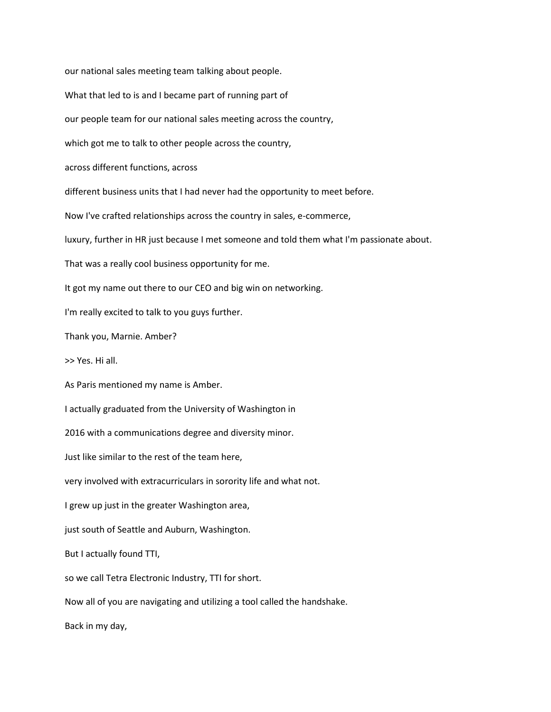our national sales meeting team talking about people. What that led to is and I became part of running part of our people team for our national sales meeting across the country, which got me to talk to other people across the country, across different functions, across different business units that I had never had the opportunity to meet before. Now I've crafted relationships across the country in sales, e-commerce, luxury, further in HR just because I met someone and told them what I'm passionate about. That was a really cool business opportunity for me. It got my name out there to our CEO and big win on networking. I'm really excited to talk to you guys further. Thank you, Marnie. Amber? >> Yes. Hi all. As Paris mentioned my name is Amber. I actually graduated from the University of Washington in 2016 with a communications degree and diversity minor. Just like similar to the rest of the team here, very involved with extracurriculars in sorority life and what not. I grew up just in the greater Washington area, just south of Seattle and Auburn, Washington. But I actually found TTI, so we call Tetra Electronic Industry, TTI for short. Now all of you are navigating and utilizing a tool called the handshake. Back in my day,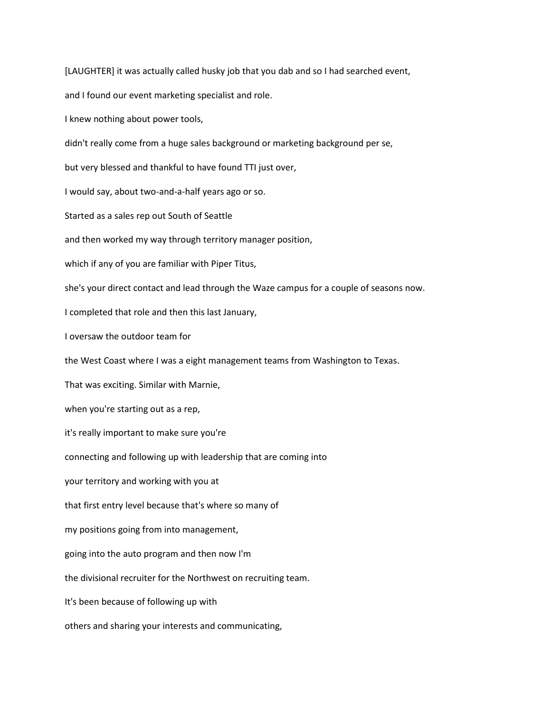[LAUGHTER] it was actually called husky job that you dab and so I had searched event,

and I found our event marketing specialist and role.

I knew nothing about power tools,

didn't really come from a huge sales background or marketing background per se,

but very blessed and thankful to have found TTI just over,

I would say, about two-and-a-half years ago or so.

Started as a sales rep out South of Seattle

and then worked my way through territory manager position,

which if any of you are familiar with Piper Titus,

she's your direct contact and lead through the Waze campus for a couple of seasons now.

I completed that role and then this last January,

I oversaw the outdoor team for

the West Coast where I was a eight management teams from Washington to Texas.

That was exciting. Similar with Marnie,

when you're starting out as a rep,

it's really important to make sure you're

connecting and following up with leadership that are coming into

your territory and working with you at

that first entry level because that's where so many of

my positions going from into management,

going into the auto program and then now I'm

the divisional recruiter for the Northwest on recruiting team.

It's been because of following up with

others and sharing your interests and communicating,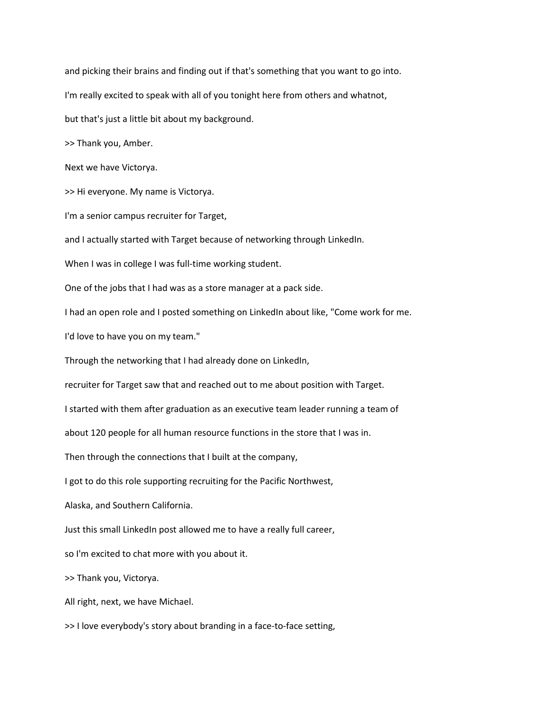and picking their brains and finding out if that's something that you want to go into. I'm really excited to speak with all of you tonight here from others and whatnot, but that's just a little bit about my background. >> Thank you, Amber. Next we have Victorya. >> Hi everyone. My name is Victorya. I'm a senior campus recruiter for Target, and I actually started with Target because of networking through LinkedIn. When I was in college I was full-time working student. One of the jobs that I had was as a store manager at a pack side. I had an open role and I posted something on LinkedIn about like, "Come work for me. I'd love to have you on my team." Through the networking that I had already done on LinkedIn, recruiter for Target saw that and reached out to me about position with Target. I started with them after graduation as an executive team leader running a team of about 120 people for all human resource functions in the store that I was in. Then through the connections that I built at the company, I got to do this role supporting recruiting for the Pacific Northwest, Alaska, and Southern California. Just this small LinkedIn post allowed me to have a really full career, so I'm excited to chat more with you about it. >> Thank you, Victorya.

>> I love everybody's story about branding in a face-to-face setting,

All right, next, we have Michael.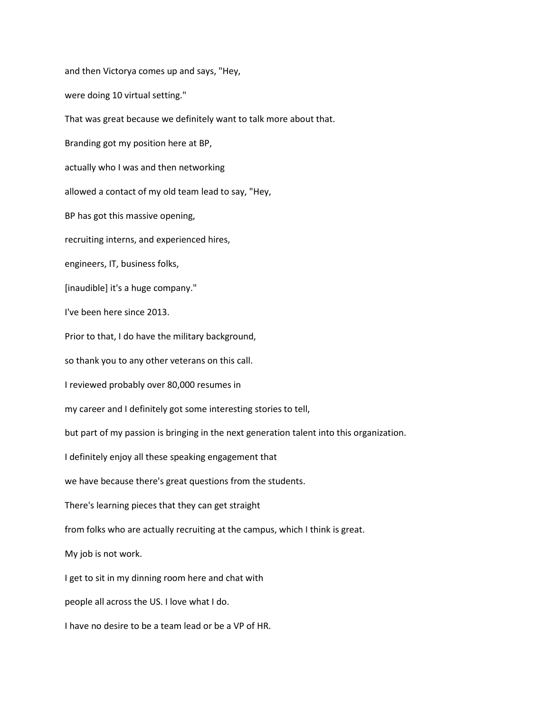and then Victorya comes up and says, "Hey, were doing 10 virtual setting." That was great because we definitely want to talk more about that. Branding got my position here at BP, actually who I was and then networking allowed a contact of my old team lead to say, "Hey, BP has got this massive opening, recruiting interns, and experienced hires, engineers, IT, business folks, [inaudible] it's a huge company." I've been here since 2013. Prior to that, I do have the military background, so thank you to any other veterans on this call. I reviewed probably over 80,000 resumes in my career and I definitely got some interesting stories to tell, but part of my passion is bringing in the next generation talent into this organization. I definitely enjoy all these speaking engagement that we have because there's great questions from the students. There's learning pieces that they can get straight from folks who are actually recruiting at the campus, which I think is great. My job is not work. I get to sit in my dinning room here and chat with people all across the US. I love what I do. I have no desire to be a team lead or be a VP of HR.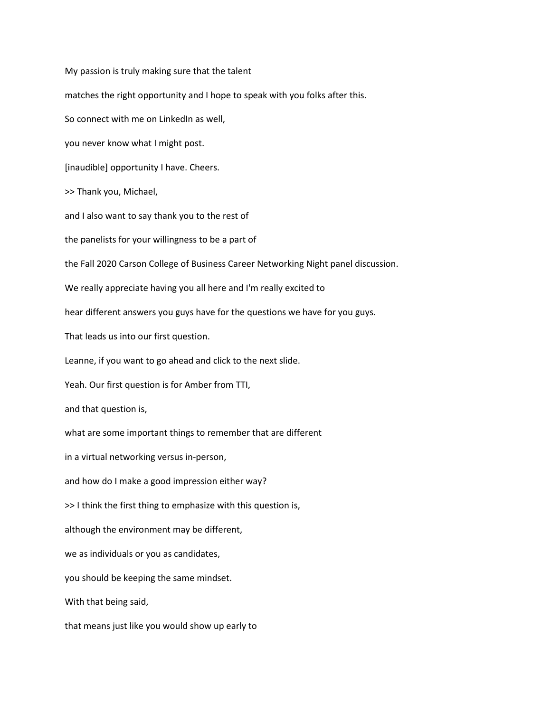My passion is truly making sure that the talent matches the right opportunity and I hope to speak with you folks after this. So connect with me on LinkedIn as well, you never know what I might post. [inaudible] opportunity I have. Cheers. >> Thank you, Michael, and I also want to say thank you to the rest of the panelists for your willingness to be a part of the Fall 2020 Carson College of Business Career Networking Night panel discussion. We really appreciate having you all here and I'm really excited to hear different answers you guys have for the questions we have for you guys. That leads us into our first question. Leanne, if you want to go ahead and click to the next slide. Yeah. Our first question is for Amber from TTI, and that question is, what are some important things to remember that are different in a virtual networking versus in-person, and how do I make a good impression either way? >> I think the first thing to emphasize with this question is, although the environment may be different, we as individuals or you as candidates, you should be keeping the same mindset. With that being said, that means just like you would show up early to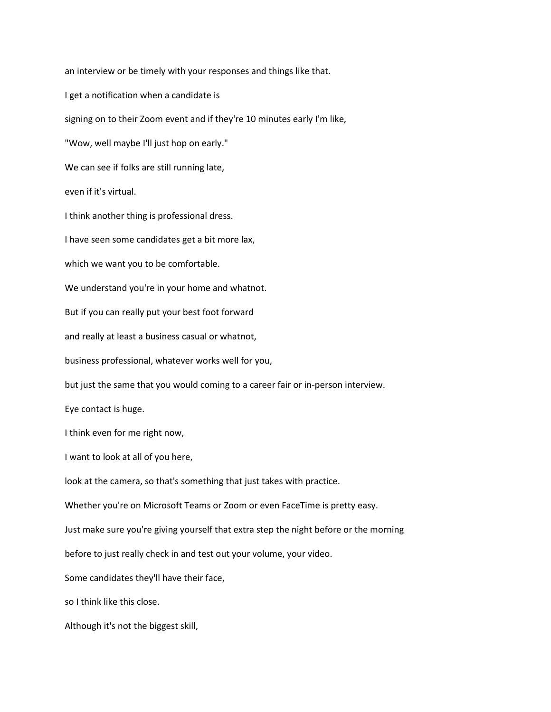an interview or be timely with your responses and things like that. I get a notification when a candidate is signing on to their Zoom event and if they're 10 minutes early I'm like, "Wow, well maybe I'll just hop on early." We can see if folks are still running late, even if it's virtual. I think another thing is professional dress. I have seen some candidates get a bit more lax, which we want you to be comfortable. We understand you're in your home and whatnot. But if you can really put your best foot forward and really at least a business casual or whatnot, business professional, whatever works well for you, but just the same that you would coming to a career fair or in-person interview. Eye contact is huge. I think even for me right now, I want to look at all of you here, look at the camera, so that's something that just takes with practice. Whether you're on Microsoft Teams or Zoom or even FaceTime is pretty easy. Just make sure you're giving yourself that extra step the night before or the morning before to just really check in and test out your volume, your video. Some candidates they'll have their face, so I think like this close. Although it's not the biggest skill,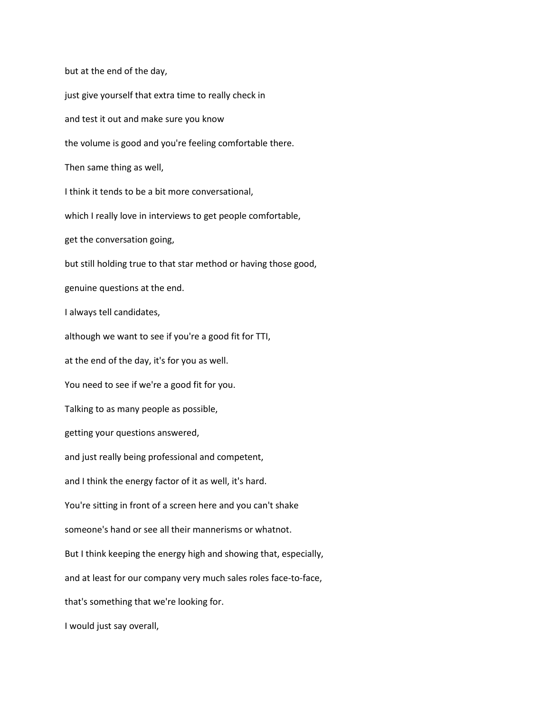but at the end of the day, just give yourself that extra time to really check in and test it out and make sure you know the volume is good and you're feeling comfortable there. Then same thing as well, I think it tends to be a bit more conversational, which I really love in interviews to get people comfortable, get the conversation going, but still holding true to that star method or having those good, genuine questions at the end. I always tell candidates, although we want to see if you're a good fit for TTI, at the end of the day, it's for you as well. You need to see if we're a good fit for you. Talking to as many people as possible, getting your questions answered, and just really being professional and competent, and I think the energy factor of it as well, it's hard. You're sitting in front of a screen here and you can't shake someone's hand or see all their mannerisms or whatnot. But I think keeping the energy high and showing that, especially, and at least for our company very much sales roles face-to-face, that's something that we're looking for. I would just say overall,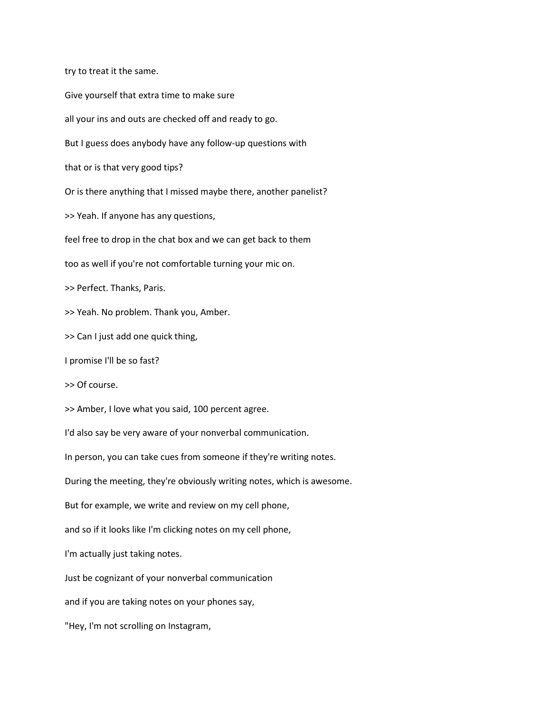try to treat it the same.

Give yourself that extra time to make sure all your ins and outs are checked off and ready to go. But I guess does anybody have any follow-up questions with that or is that very good tips? Or is there anything that I missed maybe there, another panelist? >> Yeah. If anyone has any questions, feel free to drop in the chat box and we can get back to them too as well if you're not comfortable turning your mic on. >> Perfect. Thanks, Paris. >> Yeah. No problem. Thank you, Amber. >> Can I just add one quick thing, I promise I'll be so fast? >> Of course. >> Amber, I love what you said, 100 percent agree. I'd also say be very aware of your nonverbal communication. In person, you can take cues from someone if they're writing notes. During the meeting, they're obviously writing notes, which is awesome. But for example, we write and review on my cell phone, and so if it looks like I'm clicking notes on my cell phone, I'm actually just taking notes. Just be cognizant of your nonverbal communication and if you are taking notes on your phones say, "Hey, I'm not scrolling on Instagram,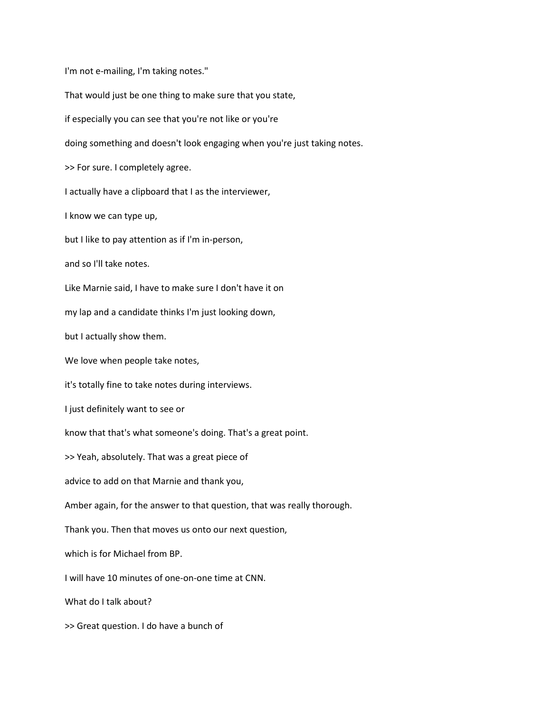I'm not e-mailing, I'm taking notes." That would just be one thing to make sure that you state, if especially you can see that you're not like or you're doing something and doesn't look engaging when you're just taking notes. >> For sure. I completely agree. I actually have a clipboard that I as the interviewer, I know we can type up, but I like to pay attention as if I'm in-person, and so I'll take notes. Like Marnie said, I have to make sure I don't have it on my lap and a candidate thinks I'm just looking down, but I actually show them. We love when people take notes, it's totally fine to take notes during interviews. I just definitely want to see or know that that's what someone's doing. That's a great point. >> Yeah, absolutely. That was a great piece of advice to add on that Marnie and thank you, Amber again, for the answer to that question, that was really thorough. Thank you. Then that moves us onto our next question, which is for Michael from BP. I will have 10 minutes of one-on-one time at CNN. What do I talk about? >> Great question. I do have a bunch of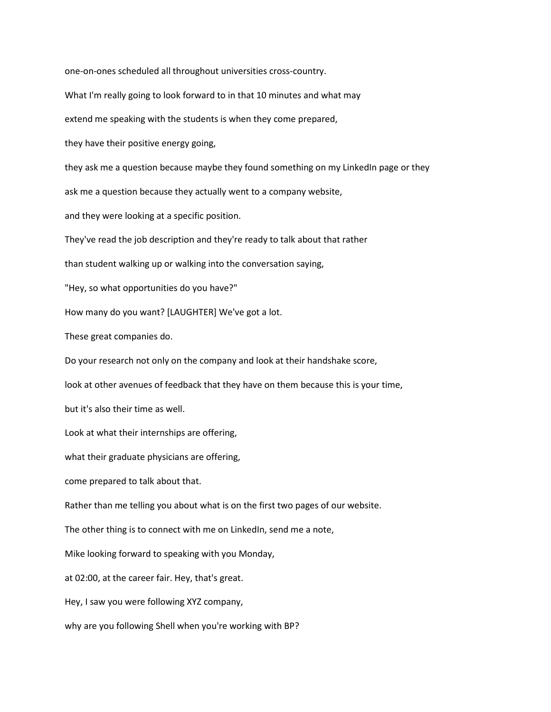one-on-ones scheduled all throughout universities cross-country. What I'm really going to look forward to in that 10 minutes and what may extend me speaking with the students is when they come prepared, they have their positive energy going, they ask me a question because maybe they found something on my LinkedIn page or they ask me a question because they actually went to a company website, and they were looking at a specific position. They've read the job description and they're ready to talk about that rather than student walking up or walking into the conversation saying, "Hey, so what opportunities do you have?" How many do you want? [LAUGHTER] We've got a lot. These great companies do. Do your research not only on the company and look at their handshake score, look at other avenues of feedback that they have on them because this is your time, but it's also their time as well. Look at what their internships are offering, what their graduate physicians are offering, come prepared to talk about that. Rather than me telling you about what is on the first two pages of our website. The other thing is to connect with me on LinkedIn, send me a note, Mike looking forward to speaking with you Monday, at 02:00, at the career fair. Hey, that's great. Hey, I saw you were following XYZ company, why are you following Shell when you're working with BP?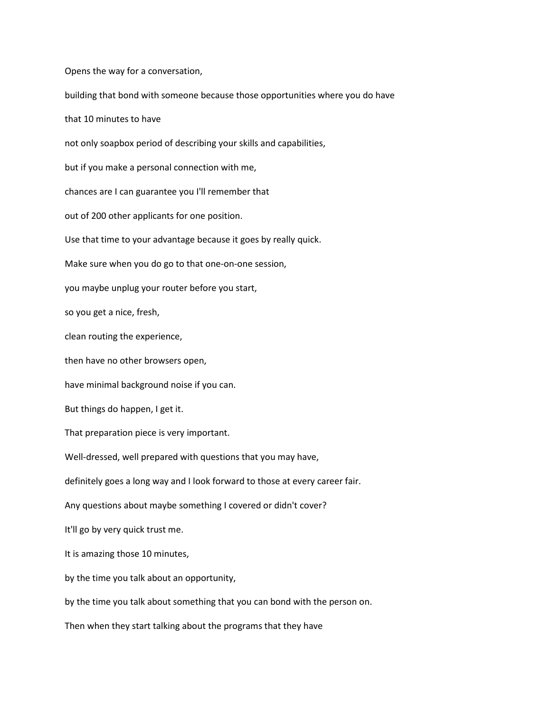Opens the way for a conversation,

building that bond with someone because those opportunities where you do have

that 10 minutes to have

not only soapbox period of describing your skills and capabilities,

but if you make a personal connection with me,

chances are I can guarantee you I'll remember that

out of 200 other applicants for one position.

Use that time to your advantage because it goes by really quick.

Make sure when you do go to that one-on-one session,

you maybe unplug your router before you start,

so you get a nice, fresh,

clean routing the experience,

then have no other browsers open,

have minimal background noise if you can.

But things do happen, I get it.

That preparation piece is very important.

Well-dressed, well prepared with questions that you may have,

definitely goes a long way and I look forward to those at every career fair.

Any questions about maybe something I covered or didn't cover?

It'll go by very quick trust me.

It is amazing those 10 minutes,

by the time you talk about an opportunity,

by the time you talk about something that you can bond with the person on.

Then when they start talking about the programs that they have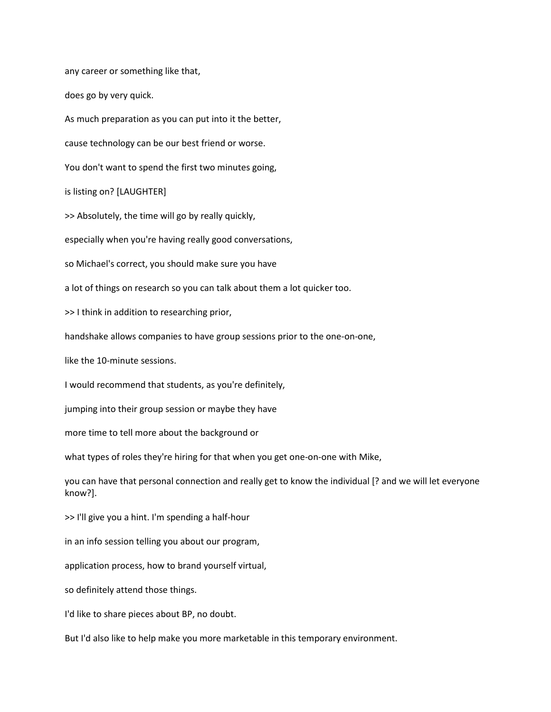any career or something like that,

does go by very quick.

As much preparation as you can put into it the better,

cause technology can be our best friend or worse.

You don't want to spend the first two minutes going,

is listing on? [LAUGHTER]

>> Absolutely, the time will go by really quickly,

especially when you're having really good conversations,

so Michael's correct, you should make sure you have

a lot of things on research so you can talk about them a lot quicker too.

>> I think in addition to researching prior,

handshake allows companies to have group sessions prior to the one-on-one,

like the 10-minute sessions.

I would recommend that students, as you're definitely,

jumping into their group session or maybe they have

more time to tell more about the background or

what types of roles they're hiring for that when you get one-on-one with Mike,

you can have that personal connection and really get to know the individual [? and we will let everyone know?].

>> I'll give you a hint. I'm spending a half-hour

in an info session telling you about our program,

application process, how to brand yourself virtual,

so definitely attend those things.

I'd like to share pieces about BP, no doubt.

But I'd also like to help make you more marketable in this temporary environment.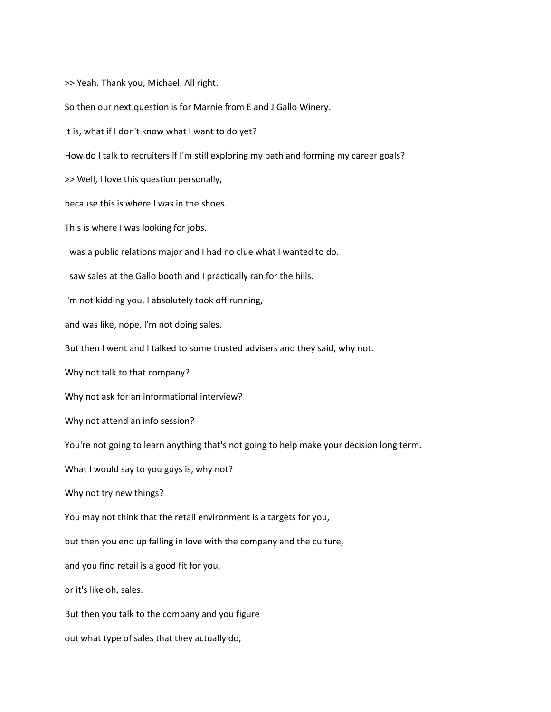>> Yeah. Thank you, Michael. All right. So then our next question is for Marnie from E and J Gallo Winery. It is, what if I don't know what I want to do yet? How do I talk to recruiters if I'm still exploring my path and forming my career goals? >> Well, I love this question personally, because this is where I was in the shoes. This is where I was looking for jobs. I was a public relations major and I had no clue what I wanted to do. I saw sales at the Gallo booth and I practically ran for the hills. I'm not kidding you. I absolutely took off running, and was like, nope, I'm not doing sales. But then I went and I talked to some trusted advisers and they said, why not. Why not talk to that company? Why not ask for an informational interview? Why not attend an info session? You're not going to learn anything that's not going to help make your decision long term. What I would say to you guys is, why not? Why not try new things? You may not think that the retail environment is a targets for you, but then you end up falling in love with the company and the culture, and you find retail is a good fit for you, or it's like oh, sales. But then you talk to the company and you figure out what type of sales that they actually do,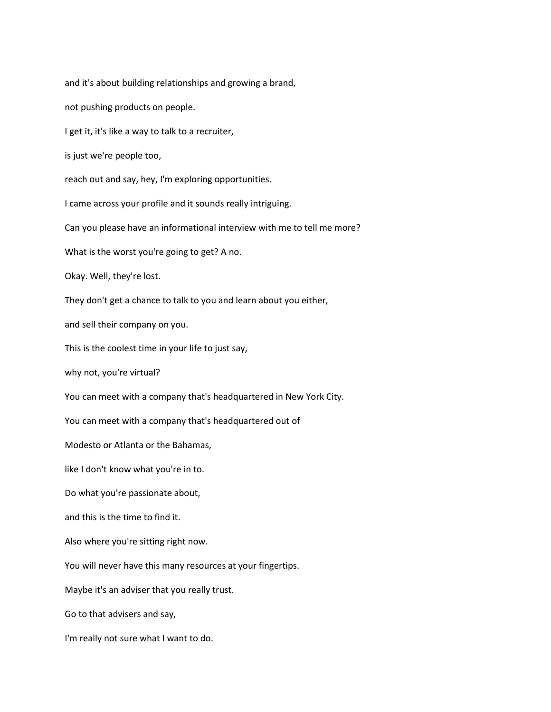and it's about building relationships and growing a brand,

not pushing products on people.

I get it, it's like a way to talk to a recruiter,

is just we're people too,

reach out and say, hey, I'm exploring opportunities.

I came across your profile and it sounds really intriguing.

Can you please have an informational interview with me to tell me more?

What is the worst you're going to get? A no.

Okay. Well, they're lost.

They don't get a chance to talk to you and learn about you either,

and sell their company on you.

This is the coolest time in your life to just say,

why not, you're virtual?

You can meet with a company that's headquartered in New York City.

You can meet with a company that's headquartered out of

Modesto or Atlanta or the Bahamas,

like I don't know what you're in to.

Do what you're passionate about,

and this is the time to find it.

Also where you're sitting right now.

You will never have this many resources at your fingertips.

Maybe it's an adviser that you really trust.

Go to that advisers and say,

I'm really not sure what I want to do.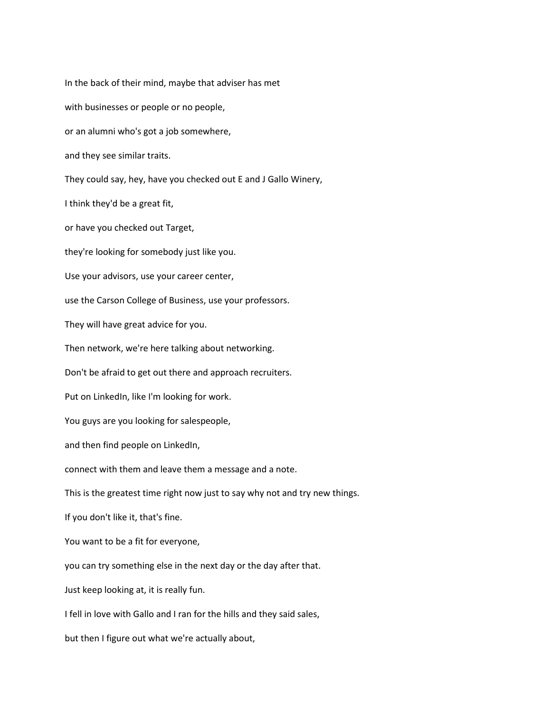In the back of their mind, maybe that adviser has met with businesses or people or no people, or an alumni who's got a job somewhere, and they see similar traits. They could say, hey, have you checked out E and J Gallo Winery, I think they'd be a great fit, or have you checked out Target, they're looking for somebody just like you. Use your advisors, use your career center, use the Carson College of Business, use your professors. They will have great advice for you. Then network, we're here talking about networking. Don't be afraid to get out there and approach recruiters. Put on LinkedIn, like I'm looking for work. You guys are you looking for salespeople, and then find people on LinkedIn, connect with them and leave them a message and a note. This is the greatest time right now just to say why not and try new things. If you don't like it, that's fine. You want to be a fit for everyone, you can try something else in the next day or the day after that. Just keep looking at, it is really fun. I fell in love with Gallo and I ran for the hills and they said sales, but then I figure out what we're actually about,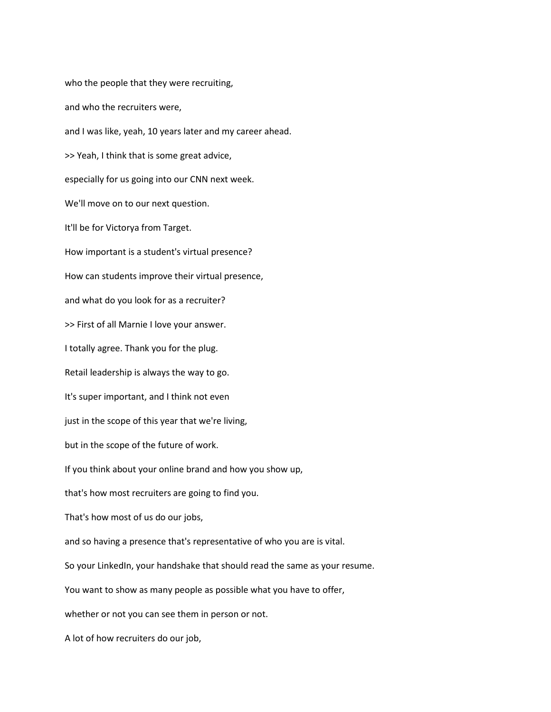who the people that they were recruiting, and who the recruiters were, and I was like, yeah, 10 years later and my career ahead. >> Yeah, I think that is some great advice, especially for us going into our CNN next week. We'll move on to our next question. It'll be for Victorya from Target. How important is a student's virtual presence? How can students improve their virtual presence, and what do you look for as a recruiter? >> First of all Marnie I love your answer. I totally agree. Thank you for the plug. Retail leadership is always the way to go. It's super important, and I think not even just in the scope of this year that we're living, but in the scope of the future of work. If you think about your online brand and how you show up, that's how most recruiters are going to find you. That's how most of us do our jobs, and so having a presence that's representative of who you are is vital. So your LinkedIn, your handshake that should read the same as your resume. You want to show as many people as possible what you have to offer, whether or not you can see them in person or not. A lot of how recruiters do our job,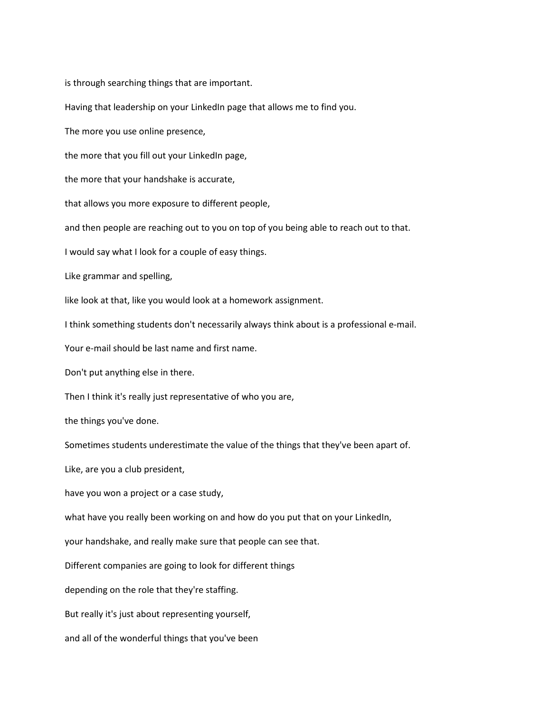is through searching things that are important.

Having that leadership on your LinkedIn page that allows me to find you.

The more you use online presence,

the more that you fill out your LinkedIn page,

the more that your handshake is accurate,

that allows you more exposure to different people,

and then people are reaching out to you on top of you being able to reach out to that.

I would say what I look for a couple of easy things.

Like grammar and spelling,

like look at that, like you would look at a homework assignment.

I think something students don't necessarily always think about is a professional e-mail.

Your e-mail should be last name and first name.

Don't put anything else in there.

Then I think it's really just representative of who you are,

the things you've done.

Sometimes students underestimate the value of the things that they've been apart of.

Like, are you a club president,

have you won a project or a case study,

what have you really been working on and how do you put that on your LinkedIn,

your handshake, and really make sure that people can see that.

Different companies are going to look for different things

depending on the role that they're staffing.

But really it's just about representing yourself,

and all of the wonderful things that you've been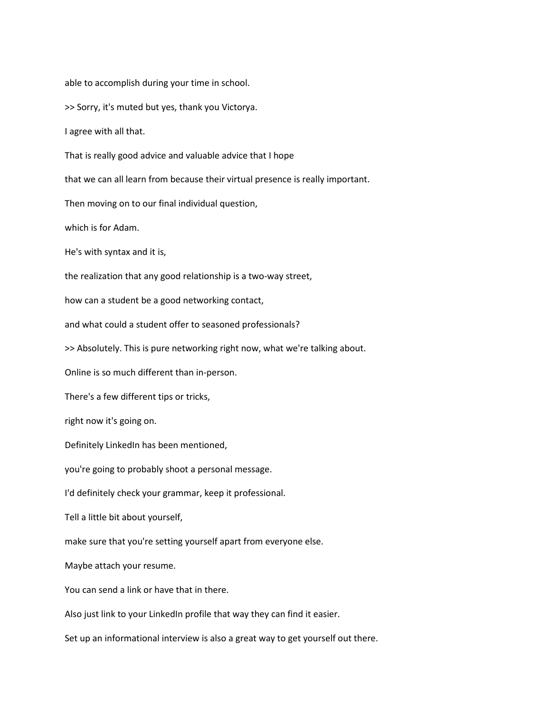able to accomplish during your time in school.

>> Sorry, it's muted but yes, thank you Victorya.

I agree with all that.

That is really good advice and valuable advice that I hope

that we can all learn from because their virtual presence is really important.

Then moving on to our final individual question,

which is for Adam.

He's with syntax and it is,

the realization that any good relationship is a two-way street,

how can a student be a good networking contact,

and what could a student offer to seasoned professionals?

>> Absolutely. This is pure networking right now, what we're talking about.

Online is so much different than in-person.

There's a few different tips or tricks,

right now it's going on.

Definitely LinkedIn has been mentioned,

you're going to probably shoot a personal message.

I'd definitely check your grammar, keep it professional.

Tell a little bit about yourself,

make sure that you're setting yourself apart from everyone else.

Maybe attach your resume.

You can send a link or have that in there.

Also just link to your LinkedIn profile that way they can find it easier.

Set up an informational interview is also a great way to get yourself out there.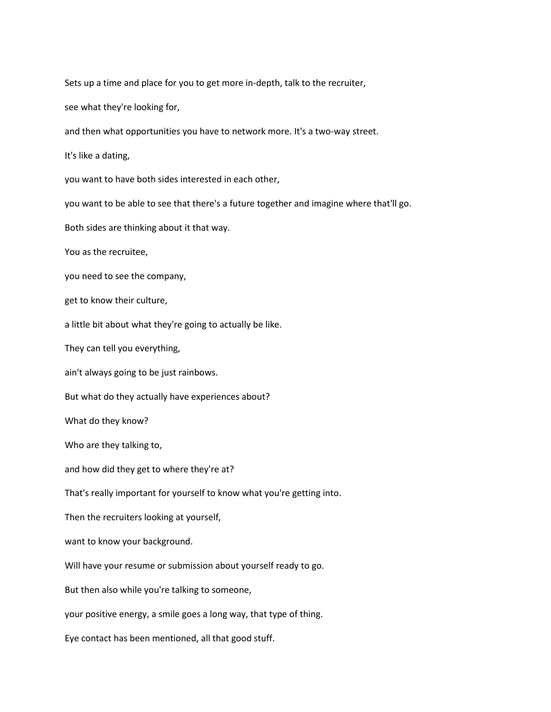Sets up a time and place for you to get more in-depth, talk to the recruiter,

see what they're looking for,

and then what opportunities you have to network more. It's a two-way street.

It's like a dating,

you want to have both sides interested in each other,

you want to be able to see that there's a future together and imagine where that'll go.

Both sides are thinking about it that way.

You as the recruitee,

you need to see the company,

get to know their culture,

a little bit about what they're going to actually be like.

They can tell you everything,

ain't always going to be just rainbows.

But what do they actually have experiences about?

What do they know?

Who are they talking to,

and how did they get to where they're at?

That's really important for yourself to know what you're getting into.

Then the recruiters looking at yourself,

want to know your background.

Will have your resume or submission about yourself ready to go.

But then also while you're talking to someone,

your positive energy, a smile goes a long way, that type of thing.

Eye contact has been mentioned, all that good stuff.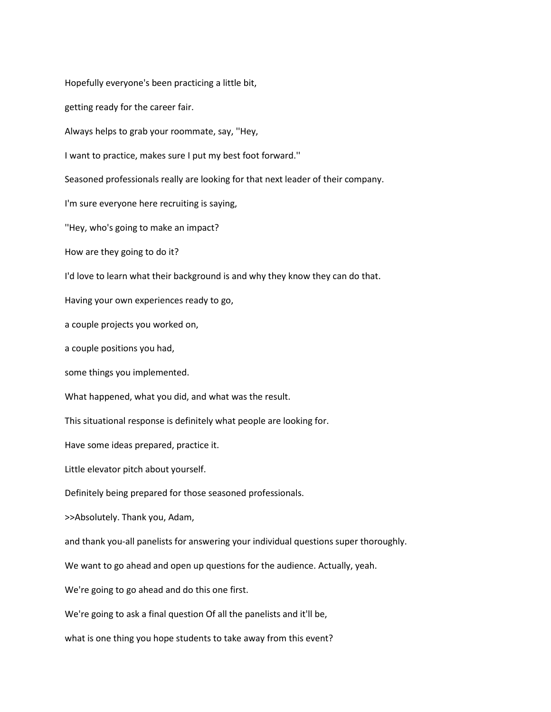Hopefully everyone's been practicing a little bit, getting ready for the career fair. Always helps to grab your roommate, say, ''Hey, I want to practice, makes sure I put my best foot forward.'' Seasoned professionals really are looking for that next leader of their company. I'm sure everyone here recruiting is saying, ''Hey, who's going to make an impact? How are they going to do it? I'd love to learn what their background is and why they know they can do that. Having your own experiences ready to go, a couple projects you worked on, a couple positions you had, some things you implemented. What happened, what you did, and what was the result. This situational response is definitely what people are looking for. Have some ideas prepared, practice it. Little elevator pitch about yourself. Definitely being prepared for those seasoned professionals. >>Absolutely. Thank you, Adam, and thank you-all panelists for answering your individual questions super thoroughly. We want to go ahead and open up questions for the audience. Actually, yeah. We're going to go ahead and do this one first. We're going to ask a final question Of all the panelists and it'll be, what is one thing you hope students to take away from this event?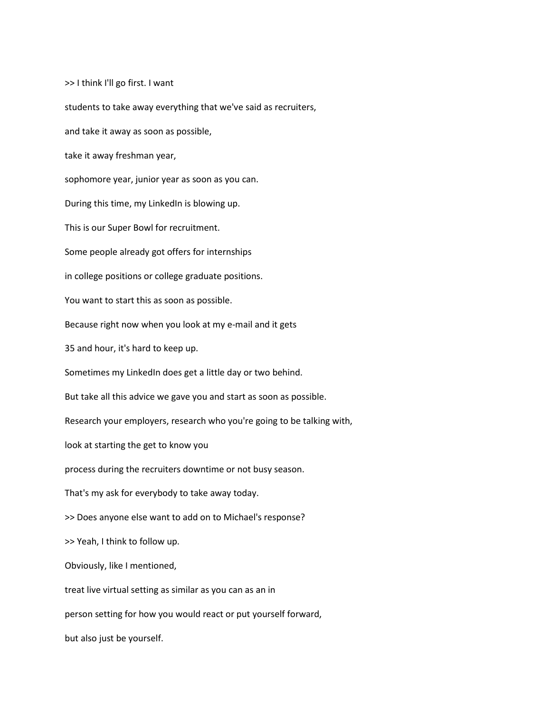>> I think I'll go first. I want students to take away everything that we've said as recruiters, and take it away as soon as possible, take it away freshman year, sophomore year, junior year as soon as you can. During this time, my LinkedIn is blowing up. This is our Super Bowl for recruitment. Some people already got offers for internships in college positions or college graduate positions. You want to start this as soon as possible. Because right now when you look at my e-mail and it gets 35 and hour, it's hard to keep up. Sometimes my LinkedIn does get a little day or two behind. But take all this advice we gave you and start as soon as possible. Research your employers, research who you're going to be talking with, look at starting the get to know you process during the recruiters downtime or not busy season. That's my ask for everybody to take away today. >> Does anyone else want to add on to Michael's response? >> Yeah, I think to follow up. Obviously, like I mentioned, treat live virtual setting as similar as you can as an in person setting for how you would react or put yourself forward, but also just be yourself.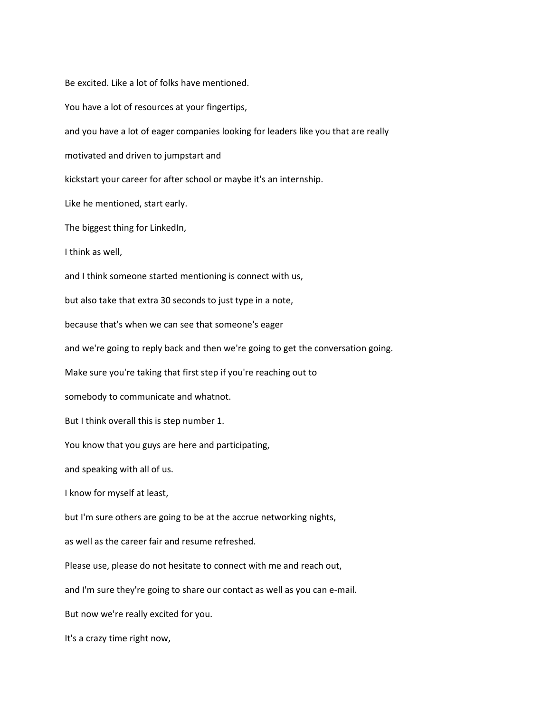Be excited. Like a lot of folks have mentioned. You have a lot of resources at your fingertips, and you have a lot of eager companies looking for leaders like you that are really motivated and driven to jumpstart and kickstart your career for after school or maybe it's an internship. Like he mentioned, start early. The biggest thing for LinkedIn, I think as well, and I think someone started mentioning is connect with us, but also take that extra 30 seconds to just type in a note, because that's when we can see that someone's eager and we're going to reply back and then we're going to get the conversation going. Make sure you're taking that first step if you're reaching out to somebody to communicate and whatnot. But I think overall this is step number 1. You know that you guys are here and participating, and speaking with all of us. I know for myself at least, but I'm sure others are going to be at the accrue networking nights, as well as the career fair and resume refreshed. Please use, please do not hesitate to connect with me and reach out, and I'm sure they're going to share our contact as well as you can e-mail. But now we're really excited for you. It's a crazy time right now,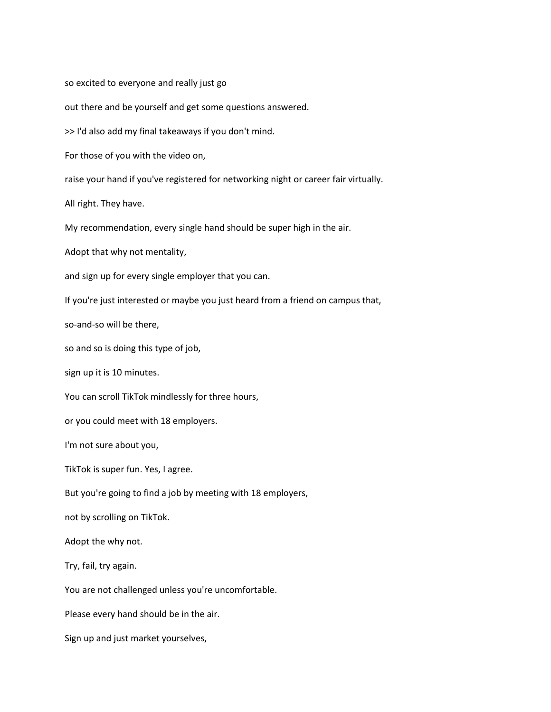so excited to everyone and really just go out there and be yourself and get some questions answered. >> I'd also add my final takeaways if you don't mind. For those of you with the video on, raise your hand if you've registered for networking night or career fair virtually. All right. They have. My recommendation, every single hand should be super high in the air. Adopt that why not mentality, and sign up for every single employer that you can. If you're just interested or maybe you just heard from a friend on campus that, so-and-so will be there, so and so is doing this type of job, sign up it is 10 minutes. You can scroll TikTok mindlessly for three hours, or you could meet with 18 employers. I'm not sure about you, TikTok is super fun. Yes, I agree. But you're going to find a job by meeting with 18 employers, not by scrolling on TikTok. Adopt the why not. Try, fail, try again. You are not challenged unless you're uncomfortable. Please every hand should be in the air. Sign up and just market yourselves,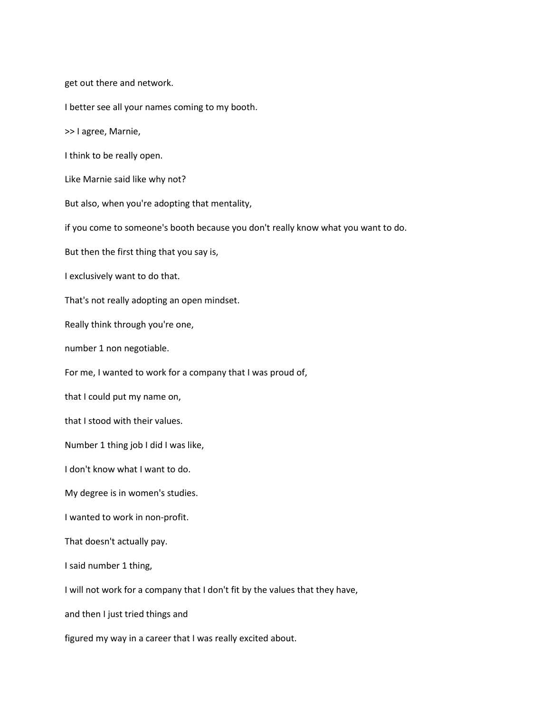get out there and network.

I better see all your names coming to my booth.

>> I agree, Marnie,

I think to be really open.

Like Marnie said like why not?

But also, when you're adopting that mentality,

if you come to someone's booth because you don't really know what you want to do.

But then the first thing that you say is,

I exclusively want to do that.

That's not really adopting an open mindset.

Really think through you're one,

number 1 non negotiable.

For me, I wanted to work for a company that I was proud of,

that I could put my name on,

that I stood with their values.

Number 1 thing job I did I was like,

I don't know what I want to do.

My degree is in women's studies.

I wanted to work in non-profit.

That doesn't actually pay.

I said number 1 thing,

I will not work for a company that I don't fit by the values that they have,

and then I just tried things and

figured my way in a career that I was really excited about.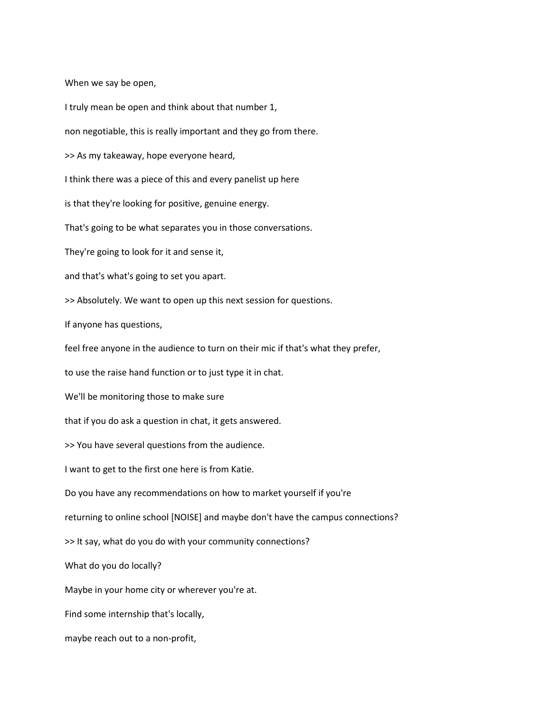When we say be open,

I truly mean be open and think about that number 1, non negotiable, this is really important and they go from there. >> As my takeaway, hope everyone heard, I think there was a piece of this and every panelist up here is that they're looking for positive, genuine energy. That's going to be what separates you in those conversations. They're going to look for it and sense it, and that's what's going to set you apart. >> Absolutely. We want to open up this next session for questions. If anyone has questions, feel free anyone in the audience to turn on their mic if that's what they prefer, to use the raise hand function or to just type it in chat. We'll be monitoring those to make sure that if you do ask a question in chat, it gets answered. >> You have several questions from the audience. I want to get to the first one here is from Katie. Do you have any recommendations on how to market yourself if you're returning to online school [NOISE] and maybe don't have the campus connections? >> It say, what do you do with your community connections? What do you do locally? Maybe in your home city or wherever you're at. Find some internship that's locally, maybe reach out to a non-profit,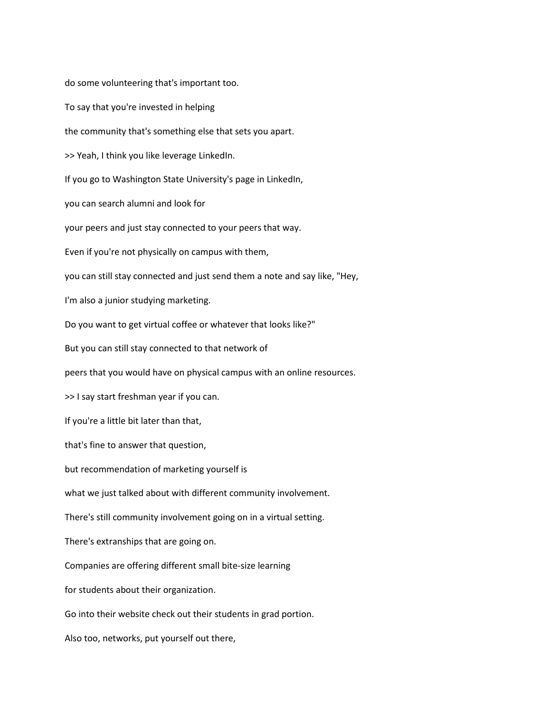do some volunteering that's important too. To say that you're invested in helping the community that's something else that sets you apart. >> Yeah, I think you like leverage LinkedIn. If you go to Washington State University's page in LinkedIn, you can search alumni and look for your peers and just stay connected to your peers that way. Even if you're not physically on campus with them, you can still stay connected and just send them a note and say like, "Hey, I'm also a junior studying marketing. Do you want to get virtual coffee or whatever that looks like?" But you can still stay connected to that network of peers that you would have on physical campus with an online resources. >> I say start freshman year if you can. If you're a little bit later than that, that's fine to answer that question, but recommendation of marketing yourself is what we just talked about with different community involvement. There's still community involvement going on in a virtual setting. There's extranships that are going on. Companies are offering different small bite-size learning for students about their organization. Go into their website check out their students in grad portion. Also too, networks, put yourself out there,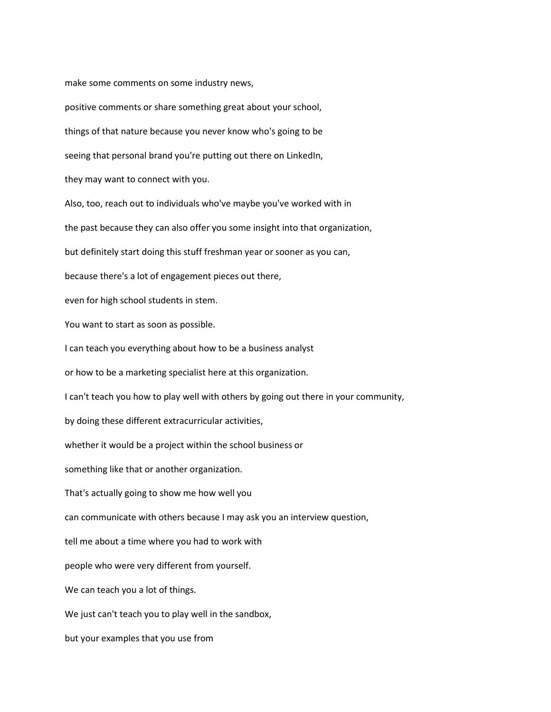make some comments on some industry news,

positive comments or share something great about your school, things of that nature because you never know who's going to be seeing that personal brand you're putting out there on LinkedIn, they may want to connect with you. Also, too, reach out to individuals who've maybe you've worked with in the past because they can also offer you some insight into that organization, but definitely start doing this stuff freshman year or sooner as you can, because there's a lot of engagement pieces out there, even for high school students in stem. You want to start as soon as possible. I can teach you everything about how to be a business analyst or how to be a marketing specialist here at this organization. I can't teach you how to play well with others by going out there in your community, by doing these different extracurricular activities, whether it would be a project within the school business or something like that or another organization. That's actually going to show me how well you can communicate with others because I may ask you an interview question, tell me about a time where you had to work with people who were very different from yourself. We can teach you a lot of things. We just can't teach you to play well in the sandbox, but your examples that you use from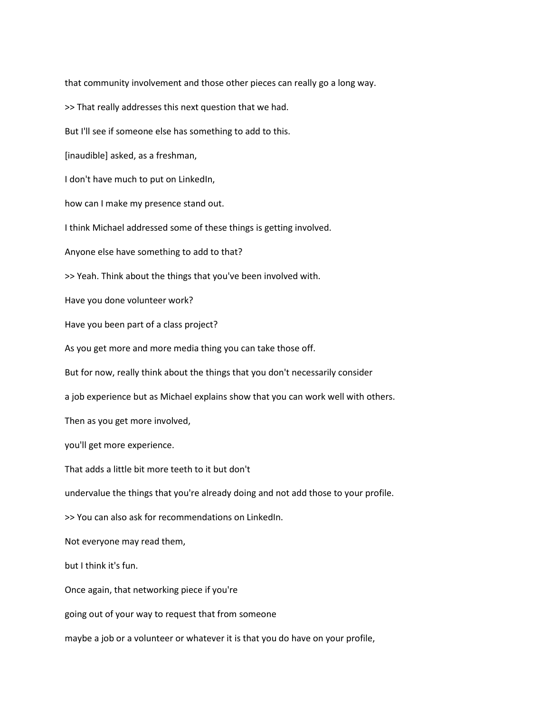that community involvement and those other pieces can really go a long way. >> That really addresses this next question that we had. But I'll see if someone else has something to add to this. [inaudible] asked, as a freshman, I don't have much to put on LinkedIn, how can I make my presence stand out. I think Michael addressed some of these things is getting involved. Anyone else have something to add to that? >> Yeah. Think about the things that you've been involved with. Have you done volunteer work? Have you been part of a class project? As you get more and more media thing you can take those off. But for now, really think about the things that you don't necessarily consider a job experience but as Michael explains show that you can work well with others. Then as you get more involved, you'll get more experience. That adds a little bit more teeth to it but don't undervalue the things that you're already doing and not add those to your profile. >> You can also ask for recommendations on LinkedIn. Not everyone may read them, but I think it's fun. Once again, that networking piece if you're going out of your way to request that from someone maybe a job or a volunteer or whatever it is that you do have on your profile,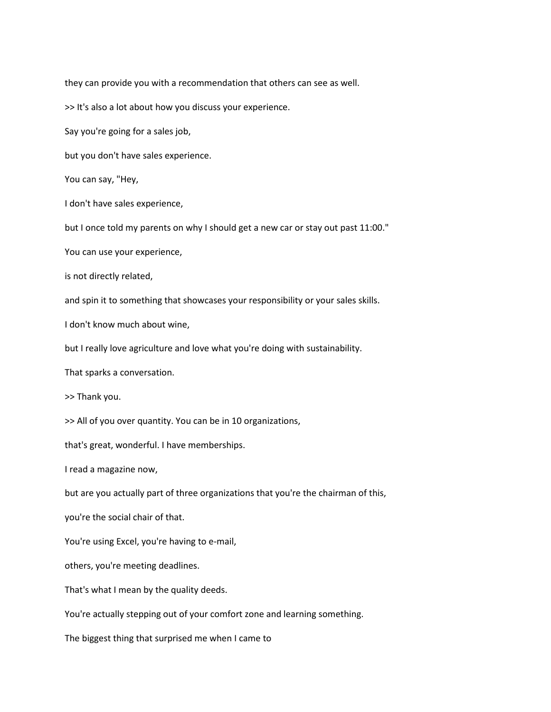they can provide you with a recommendation that others can see as well.

>> It's also a lot about how you discuss your experience.

Say you're going for a sales job,

but you don't have sales experience.

You can say, "Hey,

I don't have sales experience,

but I once told my parents on why I should get a new car or stay out past 11:00."

You can use your experience,

is not directly related,

and spin it to something that showcases your responsibility or your sales skills.

I don't know much about wine,

but I really love agriculture and love what you're doing with sustainability.

That sparks a conversation.

>> Thank you.

>> All of you over quantity. You can be in 10 organizations,

that's great, wonderful. I have memberships.

I read a magazine now,

but are you actually part of three organizations that you're the chairman of this,

you're the social chair of that.

You're using Excel, you're having to e-mail,

others, you're meeting deadlines.

That's what I mean by the quality deeds.

You're actually stepping out of your comfort zone and learning something.

The biggest thing that surprised me when I came to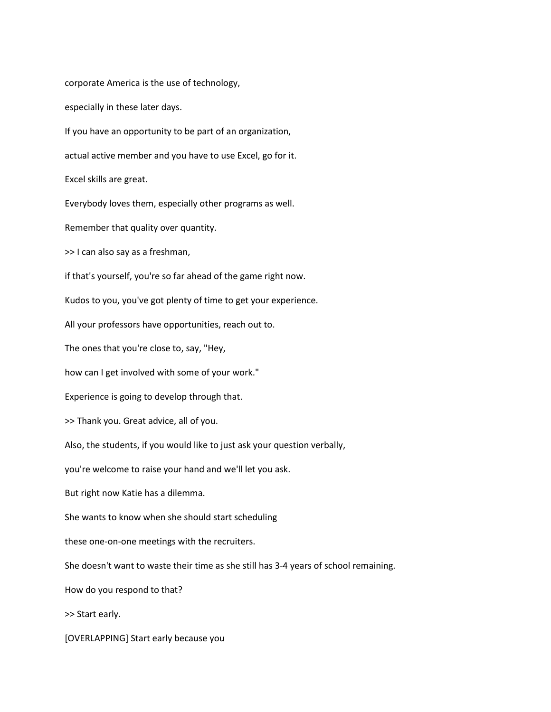corporate America is the use of technology, especially in these later days. If you have an opportunity to be part of an organization, actual active member and you have to use Excel, go for it. Excel skills are great. Everybody loves them, especially other programs as well. Remember that quality over quantity. >> I can also say as a freshman, if that's yourself, you're so far ahead of the game right now. Kudos to you, you've got plenty of time to get your experience. All your professors have opportunities, reach out to. The ones that you're close to, say, "Hey, how can I get involved with some of your work." Experience is going to develop through that. >> Thank you. Great advice, all of you. Also, the students, if you would like to just ask your question verbally, you're welcome to raise your hand and we'll let you ask. But right now Katie has a dilemma. She wants to know when she should start scheduling these one-on-one meetings with the recruiters. She doesn't want to waste their time as she still has 3-4 years of school remaining. How do you respond to that? >> Start early.

[OVERLAPPING] Start early because you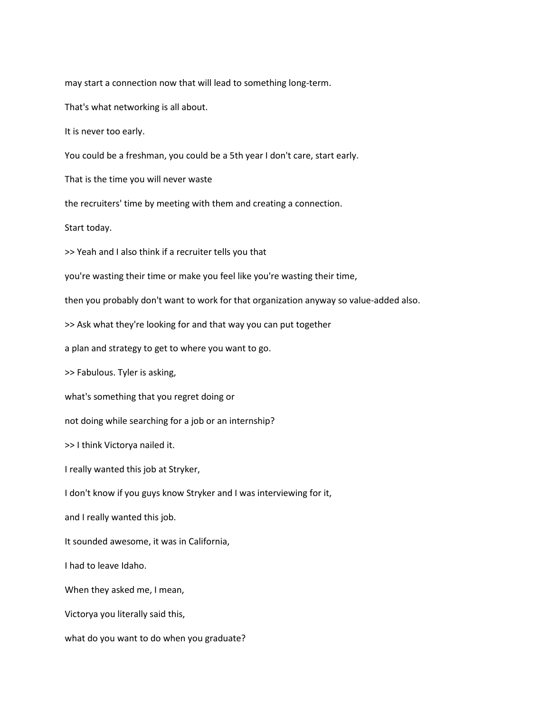may start a connection now that will lead to something long-term.

That's what networking is all about.

It is never too early.

You could be a freshman, you could be a 5th year I don't care, start early.

That is the time you will never waste

the recruiters' time by meeting with them and creating a connection.

Start today.

>> Yeah and I also think if a recruiter tells you that

you're wasting their time or make you feel like you're wasting their time,

then you probably don't want to work for that organization anyway so value-added also.

>> Ask what they're looking for and that way you can put together

a plan and strategy to get to where you want to go.

>> Fabulous. Tyler is asking,

what's something that you regret doing or

not doing while searching for a job or an internship?

>> I think Victorya nailed it.

I really wanted this job at Stryker,

I don't know if you guys know Stryker and I was interviewing for it,

and I really wanted this job.

It sounded awesome, it was in California,

I had to leave Idaho.

When they asked me, I mean,

Victorya you literally said this,

what do you want to do when you graduate?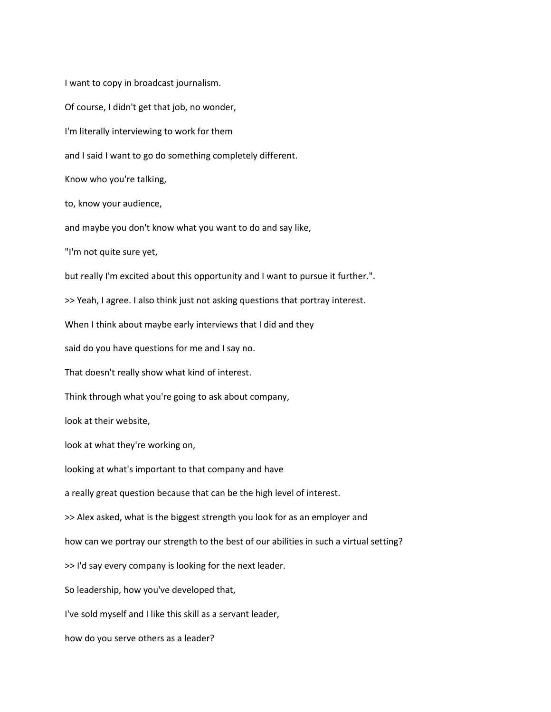I want to copy in broadcast journalism. Of course, I didn't get that job, no wonder, I'm literally interviewing to work for them and I said I want to go do something completely different. Know who you're talking, to, know your audience, and maybe you don't know what you want to do and say like, "I'm not quite sure yet, but really I'm excited about this opportunity and I want to pursue it further.". >> Yeah, I agree. I also think just not asking questions that portray interest. When I think about maybe early interviews that I did and they said do you have questions for me and I say no. That doesn't really show what kind of interest. Think through what you're going to ask about company, look at their website, look at what they're working on, looking at what's important to that company and have a really great question because that can be the high level of interest. >> Alex asked, what is the biggest strength you look for as an employer and how can we portray our strength to the best of our abilities in such a virtual setting? >> I'd say every company is looking for the next leader. So leadership, how you've developed that, I've sold myself and I like this skill as a servant leader, how do you serve others as a leader?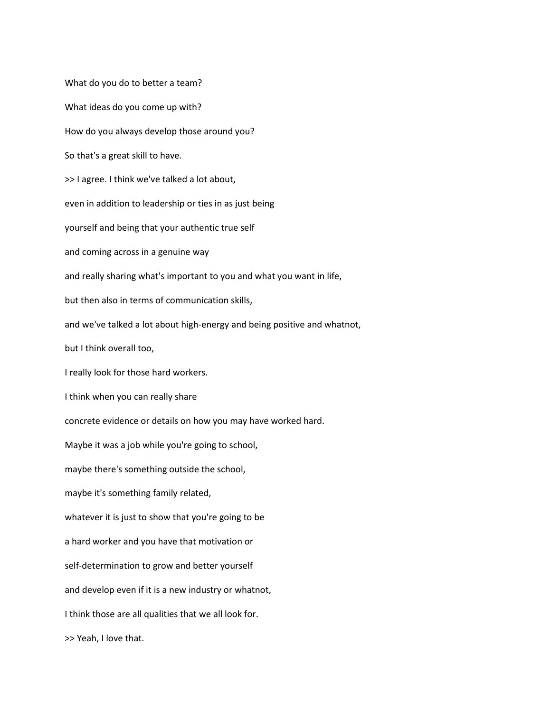What do you do to better a team? What ideas do you come up with? How do you always develop those around you? So that's a great skill to have. >> I agree. I think we've talked a lot about, even in addition to leadership or ties in as just being yourself and being that your authentic true self and coming across in a genuine way and really sharing what's important to you and what you want in life, but then also in terms of communication skills, and we've talked a lot about high-energy and being positive and whatnot, but I think overall too, I really look for those hard workers. I think when you can really share concrete evidence or details on how you may have worked hard. Maybe it was a job while you're going to school, maybe there's something outside the school, maybe it's something family related, whatever it is just to show that you're going to be a hard worker and you have that motivation or self-determination to grow and better yourself and develop even if it is a new industry or whatnot, I think those are all qualities that we all look for. >> Yeah, I love that.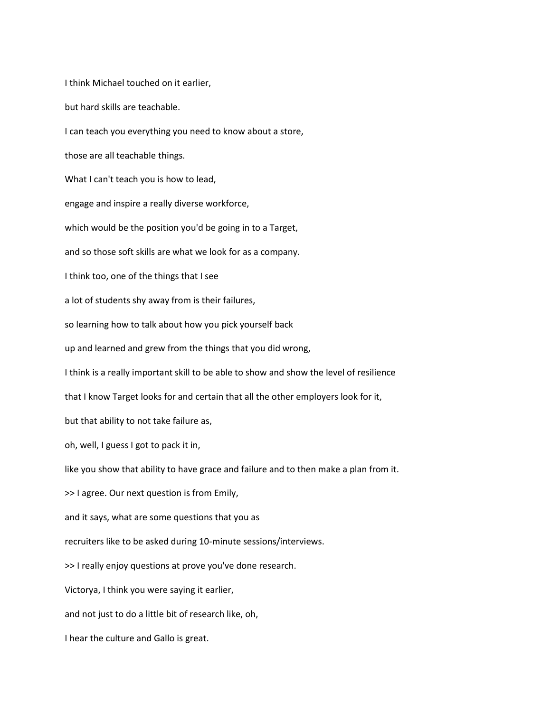I think Michael touched on it earlier, but hard skills are teachable. I can teach you everything you need to know about a store, those are all teachable things. What I can't teach you is how to lead, engage and inspire a really diverse workforce, which would be the position you'd be going in to a Target, and so those soft skills are what we look for as a company. I think too, one of the things that I see a lot of students shy away from is their failures, so learning how to talk about how you pick yourself back up and learned and grew from the things that you did wrong, I think is a really important skill to be able to show and show the level of resilience that I know Target looks for and certain that all the other employers look for it, but that ability to not take failure as, oh, well, I guess I got to pack it in, like you show that ability to have grace and failure and to then make a plan from it. >> I agree. Our next question is from Emily, and it says, what are some questions that you as recruiters like to be asked during 10-minute sessions/interviews. >> I really enjoy questions at prove you've done research. Victorya, I think you were saying it earlier, and not just to do a little bit of research like, oh, I hear the culture and Gallo is great.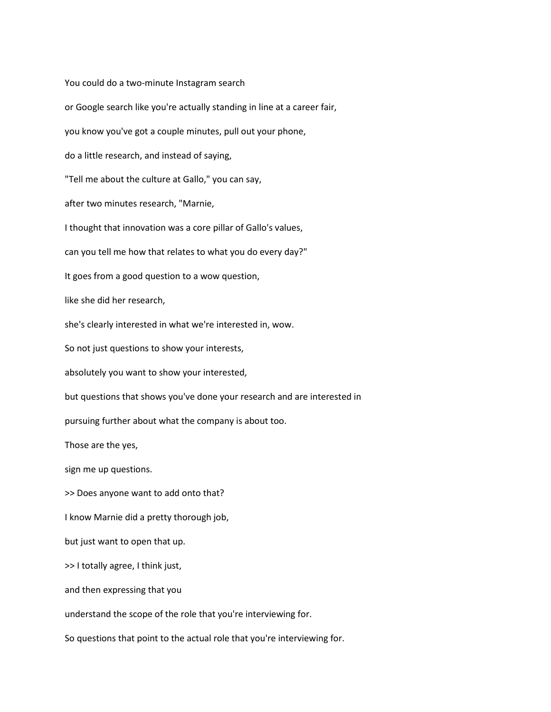You could do a two-minute Instagram search or Google search like you're actually standing in line at a career fair, you know you've got a couple minutes, pull out your phone, do a little research, and instead of saying, "Tell me about the culture at Gallo," you can say, after two minutes research, "Marnie, I thought that innovation was a core pillar of Gallo's values, can you tell me how that relates to what you do every day?" It goes from a good question to a wow question, like she did her research, she's clearly interested in what we're interested in, wow. So not just questions to show your interests, absolutely you want to show your interested, but questions that shows you've done your research and are interested in pursuing further about what the company is about too. Those are the yes, sign me up questions. >> Does anyone want to add onto that? I know Marnie did a pretty thorough job, but just want to open that up. >> I totally agree, I think just, and then expressing that you understand the scope of the role that you're interviewing for. So questions that point to the actual role that you're interviewing for.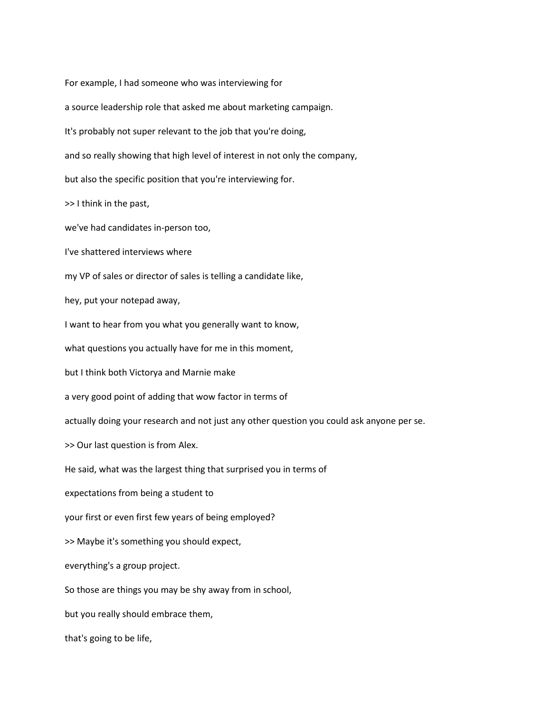For example, I had someone who was interviewing for a source leadership role that asked me about marketing campaign. It's probably not super relevant to the job that you're doing, and so really showing that high level of interest in not only the company, but also the specific position that you're interviewing for. >> I think in the past, we've had candidates in-person too, I've shattered interviews where my VP of sales or director of sales is telling a candidate like, hey, put your notepad away, I want to hear from you what you generally want to know, what questions you actually have for me in this moment, but I think both Victorya and Marnie make a very good point of adding that wow factor in terms of actually doing your research and not just any other question you could ask anyone per se. >> Our last question is from Alex. He said, what was the largest thing that surprised you in terms of expectations from being a student to your first or even first few years of being employed? >> Maybe it's something you should expect, everything's a group project. So those are things you may be shy away from in school, but you really should embrace them, that's going to be life,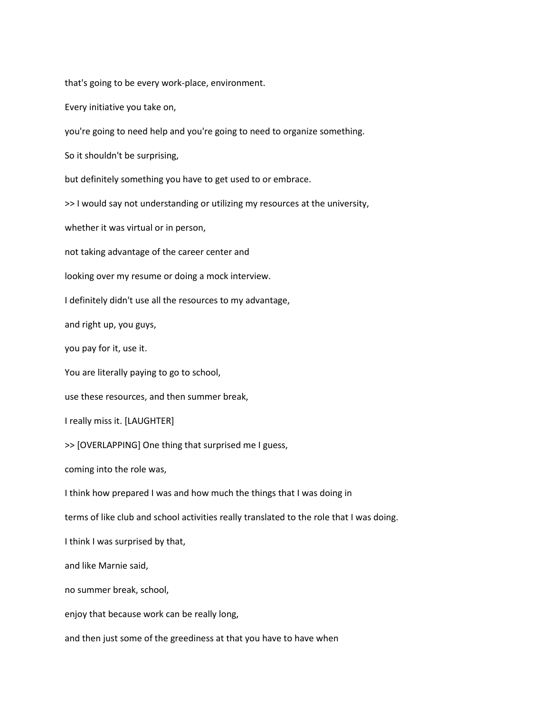that's going to be every work-place, environment.

Every initiative you take on,

you're going to need help and you're going to need to organize something.

So it shouldn't be surprising,

but definitely something you have to get used to or embrace.

>> I would say not understanding or utilizing my resources at the university,

whether it was virtual or in person,

not taking advantage of the career center and

looking over my resume or doing a mock interview.

I definitely didn't use all the resources to my advantage,

and right up, you guys,

you pay for it, use it.

You are literally paying to go to school,

use these resources, and then summer break,

I really miss it. [LAUGHTER]

>> [OVERLAPPING] One thing that surprised me I guess,

coming into the role was,

I think how prepared I was and how much the things that I was doing in

terms of like club and school activities really translated to the role that I was doing.

I think I was surprised by that,

and like Marnie said,

no summer break, school,

enjoy that because work can be really long,

and then just some of the greediness at that you have to have when